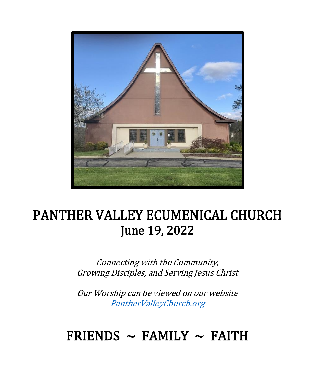

# PANTHER VALLEY ECUMENICAL CHURCH June 19, 2022

Connecting with the Community, Growing Disciples, and Serving Jesus Christ

Our Worship can be viewed on our website [PantherValleyChurch.org](https://www.panthervalleychurch.org/media/)

# FRIENDS  $\sim$  FAMILY  $\sim$  FAITH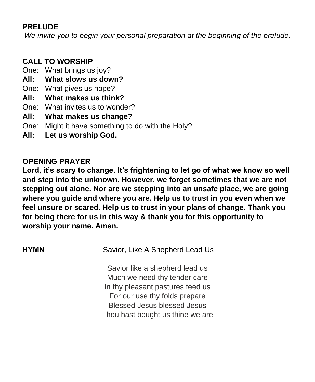### **PRELUDE**

*We invite you to begin your personal preparation at the beginning of the prelude.*

# **CALL TO WORSHIP**

- One: What brings us joy?
- **All: What slows us down?**
- One: What gives us hope?
- **All: What makes us think?**
- One: What invites us to wonder?
- **All: What makes us change?**
- One: Might it have something to do with the Holy?
- **All: Let us worship God.**

# **OPENING PRAYER**

**Lord, it's scary to change. It's frightening to let go of what we know so well and step into the unknown. However, we forget sometimes that we are not stepping out alone. Nor are we stepping into an unsafe place, we are going where you guide and where you are. Help us to trust in you even when we feel unsure or scared. Help us to trust in your plans of change. Thank you for being there for us in this way & thank you for this opportunity to worship your name. Amen.**

| <b>HYMN</b> | Savior, Like A Shepherd Lead Us  |
|-------------|----------------------------------|
|             | Savior like a shepherd lead us   |
|             | Much we need thy tender care     |
|             | In thy pleasant pastures feed us |
|             | For our use thy folds prepare    |
|             |                                  |

Savior like a shepherd lead us Much we need thy tender care In thy pleasant pastures feed us For our use thy folds prepare Blessed Jesus blessed Jesus Thou hast bought us thine we are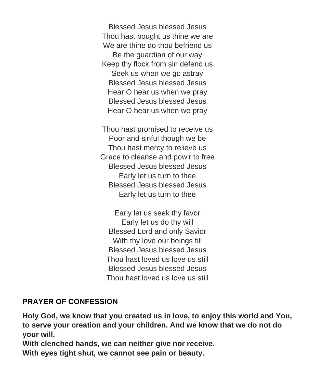Blessed Jesus blessed Jesus Thou hast bought us thine we are We are thine do thou befriend us Be the guardian of our way Keep thy flock from sin defend us Seek us when we go astray Blessed Jesus blessed Jesus Hear O hear us when we pray Blessed Jesus blessed Jesus Hear O hear us when we pray

Thou hast promised to receive us Poor and sinful though we be Thou hast mercy to relieve us Grace to cleanse and pow'r to free Blessed Jesus blessed Jesus Early let us turn to thee Blessed Jesus blessed Jesus Early let us turn to thee

Early let us seek thy favor Early let us do thy will Blessed Lord and only Savior With thy love our beings fill Blessed Jesus blessed Jesus Thou hast loved us love us still Blessed Jesus blessed Jesus Thou hast loved us love us still

#### **PRAYER OF CONFESSION**

**Holy God, we know that you created us in love, to enjoy this world and You, to serve your creation and your children. And we know that we do not do your will.**

**With clenched hands, we can neither give nor receive.**

**With eyes tight shut, we cannot see pain or beauty.**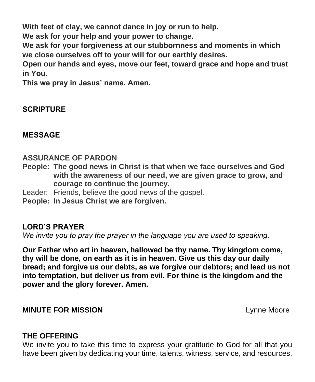**With feet of clay, we cannot dance in joy or run to help.**

**We ask for your help and your power to change.**

**We ask for your forgiveness at our stubbornness and moments in which we close ourselves off to your will for our earthly desires.**

**Open our hands and eyes, move our feet, toward grace and hope and trust in You.**

**This we pray in Jesus' name. Amen.**

## **SCRIPTURE**

#### **MESSAGE**

#### **ASSURANCE OF PARDON**

- **People: The good news in Christ is that when we face ourselves and God with the awareness of our need, we are given grace to grow, and courage to continue the journey.**
- Leader: Friends, believe the good news of the gospel.
- **People: In Jesus Christ we are forgiven.**

#### **LORD'S PRAYER**

*We invite you to pray the prayer in the language you are used to speaking.* 

**Our Father who art in heaven, hallowed be thy name. Thy kingdom come, thy will be done, on earth as it is in heaven. Give us this day our daily bread; and forgive us our debts, as we forgive our debtors; and lead us not into temptation, but deliver us from evil. For thine is the kingdom and the power and the glory forever. Amen.** 

#### **MINUTE FOR MISSION** Lynne Moore

#### **THE OFFERING**

We invite you to take this time to express your gratitude to God for all that you have been given by dedicating your time, talents, witness, service, and resources.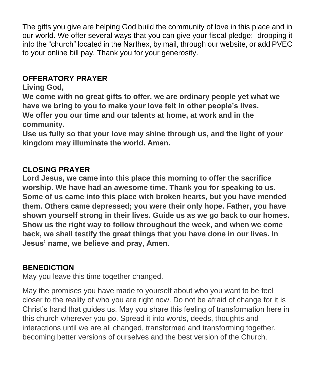The gifts you give are helping God build the community of love in this place and in our world. We offer several ways that you can give your fiscal pledge: dropping it into the "church" located in the Narthex, by mail, through our website, or add PVEC to your online bill pay. Thank you for your generosity.

### **OFFERATORY PRAYER**

### **Living God,**

**We come with no great gifts to offer, we are ordinary people yet what we have we bring to you to make your love felt in other people's lives. We offer you our time and our talents at home, at work and in the community.**

**Use us fully so that your love may shine through us, and the light of your kingdom may illuminate the world. Amen.**

## **CLOSING PRAYER**

**Lord Jesus, we came into this place this morning to offer the sacrifice worship. We have had an awesome time. Thank you for speaking to us. Some of us came into this place with broken hearts, but you have mended them. Others came depressed; you were their only hope. Father, you have shown yourself strong in their lives. Guide us as we go back to our homes. Show us the right way to follow throughout the week, and when we come back, we shall testify the great things that you have done in our lives. In Jesus' name, we believe and pray, Amen.**

#### **BENEDICTION**

May you leave this time together changed.

May the promises you have made to yourself about who you want to be feel closer to the reality of who you are right now. Do not be afraid of change for it is Christ's hand that guides us. May you share this feeling of transformation here in this church wherever you go. Spread it into words, deeds, thoughts and interactions until we are all changed, transformed and transforming together, becoming better versions of ourselves and the best version of the Church.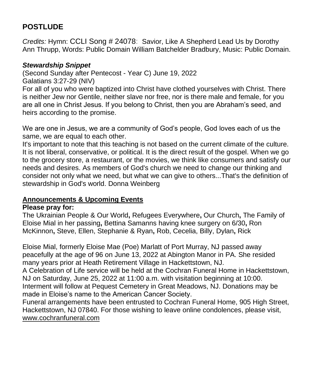## **POSTLUDE**

*Credits:* Hymn: CCLI Song # 24078: Savior, Like A Shepherd Lead Us by Dorothy Ann Thrupp, Words: Public Domain William Batchelder Bradbury, Music: Public Domain.

#### *Stewardship Snippet*

(Second Sunday after Pentecost - Year C) June 19, 2022 Galatians 3:27-29 (NIV)

For all of you who were baptized into Christ have clothed yourselves with Christ. There is neither Jew nor Gentile, neither slave nor free, nor is there male and female, for you are all one in Christ Jesus. If you belong to Christ, then you are Abraham's seed, and heirs according to the promise.

We are one in Jesus, we are a community of God's people, God loves each of us the same, we are equal to each other.

It's important to note that this teaching is not based on the current climate of the culture. It is not liberal, conservative, or political. It is the direct result of the gospel. When we go to the grocery store, a restaurant, or the movies, we think like consumers and satisfy our needs and desires. As members of God's church we need to change our thinking and consider not only what we need, but what we can give to others...That's the definition of stewardship in God's world. Donna Weinberg

#### **Announcements & Upcoming Events**

#### **Please pray for:**

The Ukrainian People & Our World**,** Refugees Everywhere**,** Our Church**,** The Family of Eloise Mial in her passing**,** Bettina Samanns having knee surgery on 6/30**,** Ron McKinnon**,** Steve, Ellen, Stephanie & Ryan**,** Rob, Cecelia, Billy, Dylan**,** Rick

Eloise Mial, formerly Eloise Mae (Poe) Marlatt of Port Murray, NJ passed away peacefully at the age of 96 on June 13, 2022 at Abington Manor in PA. She resided many years prior at Heath Retirement Village in Hackettstown, NJ.

A Celebration of Life service will be held at the Cochran Funeral Home in Hackettstown, NJ on Saturday, June 25, 2022 at 11:00 a.m. with visitation beginning at 10:00. Interment will follow at Pequest Cemetery in Great Meadows, NJ. Donations may be made in Eloise's name to the American Cancer Society.

Funeral arrangements have been entrusted to Cochran Funeral Home, 905 High Street, Hackettstown, NJ 07840. For those wishing to leave online condolences, please visit, [www.cochranfuneral.com](http://www.cochranfuneral.com/)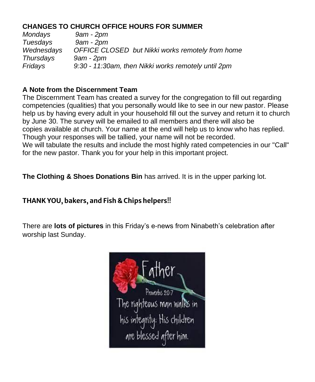#### **CHANGES TO CHURCH OFFICE HOURS FOR SUMMER**

*Mondays 9am - 2pm Tuesdays 9am - 2pm Wednesdays OFFICE CLOSED but Nikki works remotely from home Thursdays 9am - 2pm Fridays 9:30 - 11:30am, then Nikki works remotely until 2pm*

#### **A Note from the Discernment Team**

The Discernment Team has created a survey for the congregation to fill out regarding competencies (qualities) that you personally would like to see in our new pastor. Please help us by having every adult in your household fill out the survey and return it to church by June 30. The survey will be emailed to all members and there will also be copies available at church. Your name at the end will help us to know who has replied. Though your responses will be tallied, your name will not be recorded. We will tabulate the results and include the most highly rated competencies in our "Call" for the new pastor. Thank you for your help in this important project.

**The Clothing & Shoes Donations Bin** has arrived. It is in the upper parking lot.

## **THANK YOU, bakers, and Fish & Chips helpers**!!

There are **lots of pictures** in this Friday's e-news from Ninabeth's celebration after worship last Sunday.